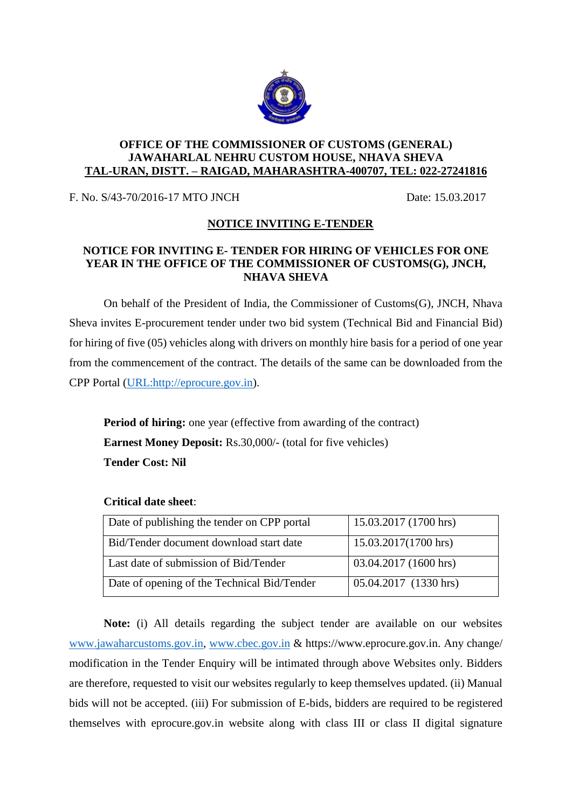

## **OFFICE OF THE COMMISSIONER OF CUSTOMS (GENERAL) JAWAHARLAL NEHRU CUSTOM HOUSE, NHAVA SHEVA TAL-URAN, DISTT. – RAIGAD, MAHARASHTRA-400707, TEL: 022-27241816**

F. No. S/43-70/2016-17 MTO JNCH Date: 15.03.2017

## **NOTICE INVITING E-TENDER**

## **NOTICE FOR INVITING E- TENDER FOR HIRING OF VEHICLES FOR ONE YEAR IN THE OFFICE OF THE COMMISSIONER OF CUSTOMS(G), JNCH, NHAVA SHEVA**

On behalf of the President of India, the Commissioner of Customs(G), JNCH, Nhava Sheva invites E-procurement tender under two bid system (Technical Bid and Financial Bid) for hiring of five (05) vehicles along with drivers on monthly hire basis for a period of one year from the commencement of the contract. The details of the same can be downloaded from the CPP Portal [\(URL:http://eprocure.gov.in\)](http://eprocure.gov.in/).

**Period of hiring:** one year (effective from awarding of the contract) **Earnest Money Deposit:** Rs.30,000/- (total for five vehicles) **Tender Cost: Nil**

| Date of publishing the tender on CPP portal | 15.03.2017 (1700 hrs) |
|---------------------------------------------|-----------------------|
| Bid/Tender document download start date     | 15.03.2017(1700 hrs)  |
| Last date of submission of Bid/Tender       | 03.04.2017 (1600 hrs) |
| Date of opening of the Technical Bid/Tender | 05.04.2017 (1330 hrs) |

## **Critical date sheet**:

**Note:** (i) All details regarding the subject tender are available on our websites [www.jawaharcustoms.gov.in,](http://www.jawaharcustoms.gov.in/) [www.cbec.gov.in](http://www.cbec.gov.in/) & https://www.eprocure.gov.in. Any change/ modification in the Tender Enquiry will be intimated through above Websites only. Bidders are therefore, requested to visit our websites regularly to keep themselves updated. (ii) Manual bids will not be accepted. (iii) For submission of E-bids, bidders are required to be registered themselves with eprocure.gov.in website along with class III or class II digital signature